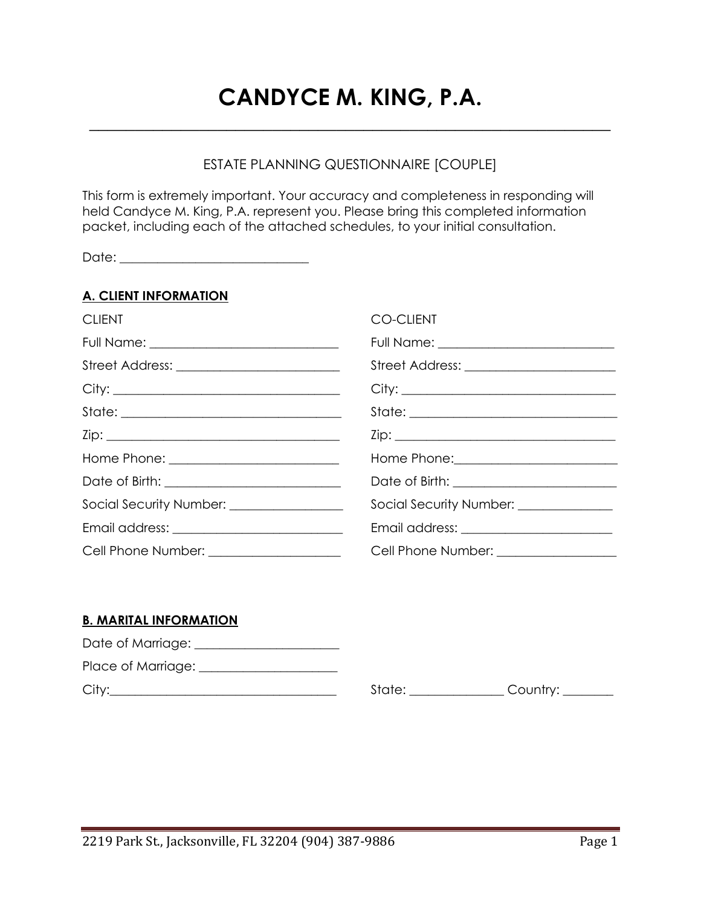# **CANDYCE M. KING, P.A.**

**\_\_\_\_\_\_\_\_\_\_\_\_\_\_\_\_\_\_\_\_\_\_\_\_\_\_\_\_\_\_\_\_\_\_\_\_\_\_\_\_\_\_\_\_\_\_\_\_\_\_\_\_\_\_\_\_\_**

## ESTATE PLANNING QUESTIONNAIRE [COUPLE]

This form is extremely important. Your accuracy and completeness in responding will held Candyce M. King, P.A. represent you. Please bring this completed information packet, including each of the attached schedules, to your initial consultation.

Date: \_\_\_\_\_\_\_\_\_\_\_\_\_\_\_\_\_\_\_\_\_\_\_\_\_\_\_\_\_\_

## **A. CLIENT INFORMATION**

| <b>CLIENT</b>                                  | <b>CO-CLIENT</b>                              |
|------------------------------------------------|-----------------------------------------------|
| Full Name: ___________________________________ |                                               |
|                                                | Street Address: __________________________    |
| City:                                          | City:                                         |
|                                                |                                               |
|                                                |                                               |
| Home Phone: ______________________________     | Home Phone: <u>__________________________</u> |
|                                                |                                               |
| Social Security Number: ________________       | Social Security Number: _____________         |
|                                                |                                               |
| Cell Phone Number: _____________________       | Cell Phone Number: _________________          |

## **B. MARITAL INFORMATION**

| Date of Marriage: _ |  |
|---------------------|--|
| Place of Marriage:  |  |
| Citv:               |  |

City:\_\_\_\_\_\_\_\_\_\_\_\_\_\_\_\_\_\_\_\_\_\_\_\_\_\_\_\_\_\_\_\_\_\_\_\_ State: \_\_\_\_\_\_\_\_\_\_\_\_\_\_\_ Country: \_\_\_\_\_\_\_\_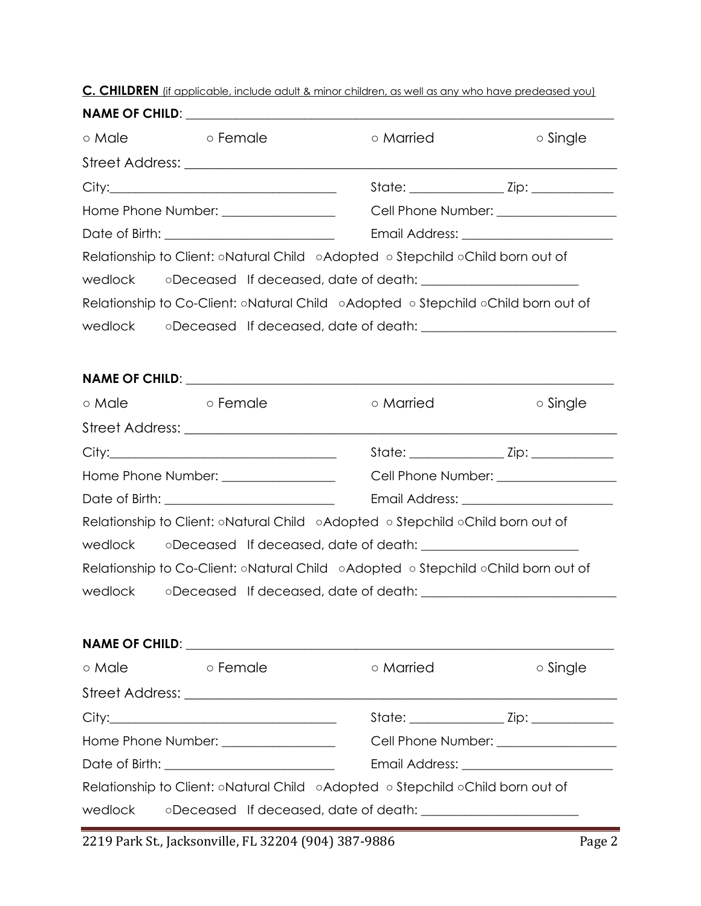**C. CHILDREN** (if applicable, include adult & minor children, as well as any who have predeased you)

| ⊙ Male  | ⊙ Female                                                                           | o Married                             | o Single |  |
|---------|------------------------------------------------------------------------------------|---------------------------------------|----------|--|
|         |                                                                                    |                                       |          |  |
|         |                                                                                    |                                       |          |  |
|         | Home Phone Number: _________________                                               |                                       |          |  |
|         |                                                                                    |                                       |          |  |
|         | Relationship to Client: oNatural Child oAdopted o Stepchild oChild born out of     |                                       |          |  |
| wedlock |                                                                                    |                                       |          |  |
|         | Relationship to Co-Client: oNatural Child oAdopted of Stepchild oChild born out of |                                       |          |  |
|         | wedlock oDeceased If deceased, date of death: __________________________________   |                                       |          |  |
|         |                                                                                    |                                       |          |  |
|         |                                                                                    |                                       |          |  |
| o Male  | <b>Example 5</b> o Female                                                          | ○ Married                             | ○ Single |  |
|         |                                                                                    |                                       |          |  |
|         |                                                                                    |                                       |          |  |
|         | Home Phone Number: _________________                                               | Cell Phone Number: __________________ |          |  |
|         |                                                                                    |                                       |          |  |
|         | Relationship to Client: ○Natural Child ○Adopted ○ Stepchild ○Child born out of     |                                       |          |  |
|         |                                                                                    |                                       |          |  |
|         | Relationship to Co-Client: oNatural Child oAdopted o Stepchild oChild born out of  |                                       |          |  |
|         | wedlock oDeceased If deceased, date of death: __________________________________   |                                       |          |  |
|         |                                                                                    |                                       |          |  |
|         |                                                                                    |                                       |          |  |
| ⊙ Male  | ○ Female                                                                           | ○ Married                             | o Single |  |
|         |                                                                                    |                                       |          |  |
|         |                                                                                    |                                       |          |  |
|         | Home Phone Number: ________________                                                |                                       |          |  |
|         |                                                                                    |                                       |          |  |
|         | Relationship to Client: oNatural Child oAdopted o Stepchild oChild born out of     |                                       |          |  |

wedlock oDeceased If deceased, date of death: \_\_\_\_\_\_\_\_\_\_\_\_\_\_\_\_\_\_\_\_\_\_\_\_\_\_\_\_\_\_\_\_\_\_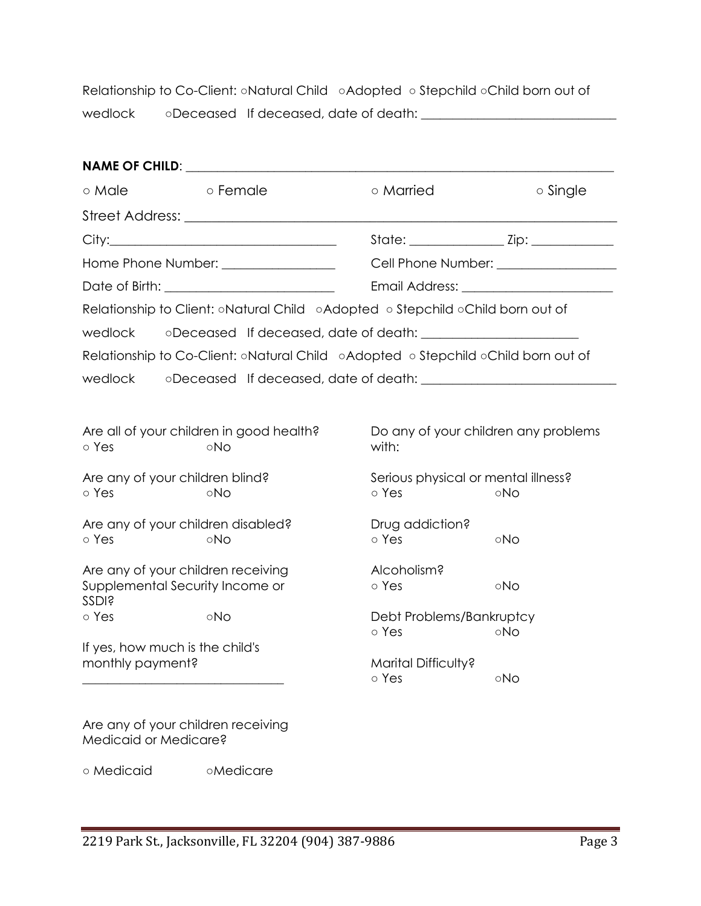Relationship to Co-Client: ○Natural Child ○Adopted ○ Stepchild ○Child born out of wedlock oDeceased If deceased, date of death: \_\_\_\_\_\_\_\_\_\_\_\_\_\_\_\_\_\_\_\_\_\_\_\_\_\_\_\_\_\_\_\_\_\_

| o Male                                          | o Female                                                                          | o Married                    | $\circ$ Single                             |  |  |
|-------------------------------------------------|-----------------------------------------------------------------------------------|------------------------------|--------------------------------------------|--|--|
|                                                 |                                                                                   |                              |                                            |  |  |
|                                                 |                                                                                   |                              |                                            |  |  |
|                                                 | Home Phone Number: Name School and Thomas Mumbers                                 |                              | Cell Phone Number: _________________       |  |  |
|                                                 |                                                                                   |                              |                                            |  |  |
|                                                 | Relationship to Client: oNatural Child oAdopted o Stepchild oChild born out of    |                              |                                            |  |  |
| wedlock                                         |                                                                                   |                              |                                            |  |  |
|                                                 | Relationship to Co-Client: oNatural Child oAdopted o Stepchild oChild born out of |                              |                                            |  |  |
| wedlock                                         |                                                                                   |                              |                                            |  |  |
|                                                 |                                                                                   |                              |                                            |  |  |
| o Yes                                           | Are all of your children in good health?<br>⊙No                                   | with:                        | Do any of your children any problems       |  |  |
| Are any of your children blind?<br>o Yes<br>∘No |                                                                                   | o Yes                        | Serious physical or mental illness?<br>oNo |  |  |
| o Yes                                           | Are any of your children disabled?<br>⊙No                                         | Drug addiction?<br>o Yes     | $\circ$ No                                 |  |  |
| SSDI <sub>s</sub>                               | Are any of your children receiving<br>Supplemental Security Income or             | Alcoholism?<br>o Yes         | oNo                                        |  |  |
| o Yes                                           | oNo                                                                               | Debt Problems/Bankruptcy     |                                            |  |  |
|                                                 | If yes, how much is the child's                                                   | o Yes                        | oNo                                        |  |  |
| monthly payment?                                |                                                                                   | Marital Difficulty?<br>o Yes | oNo                                        |  |  |
| Medicaid or Medicare?                           | Are any of your children receiving                                                |                              |                                            |  |  |

○ Medicaid ○Medicare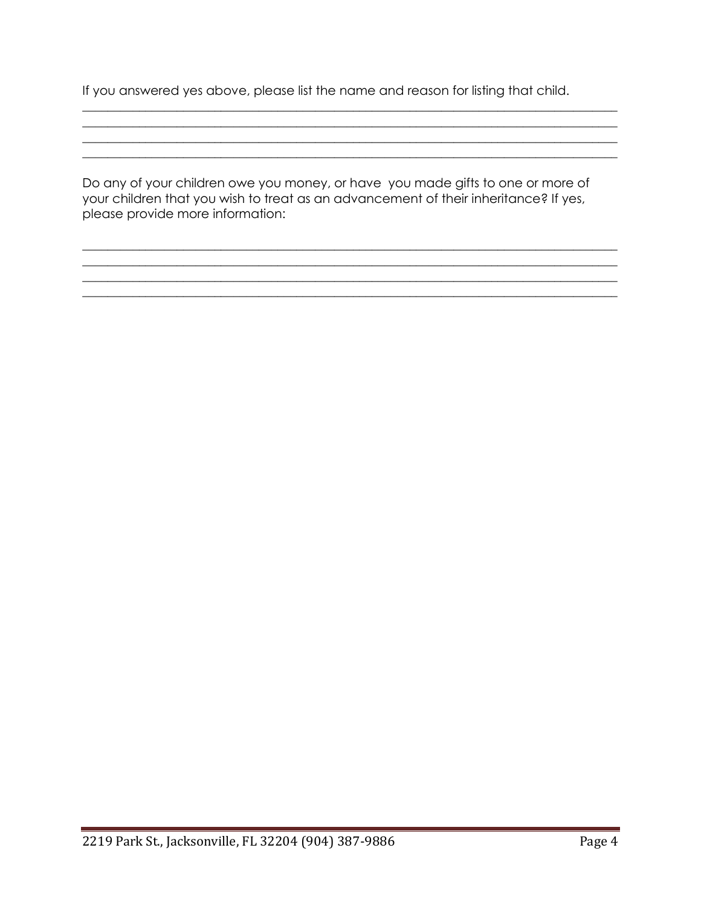If you answered yes above, please list the name and reason for listing that child.

Do any of your children owe you money, or have you made gifts to one or more of your children that you wish to treat as an advancement of their inheritance? If yes, please provide more information: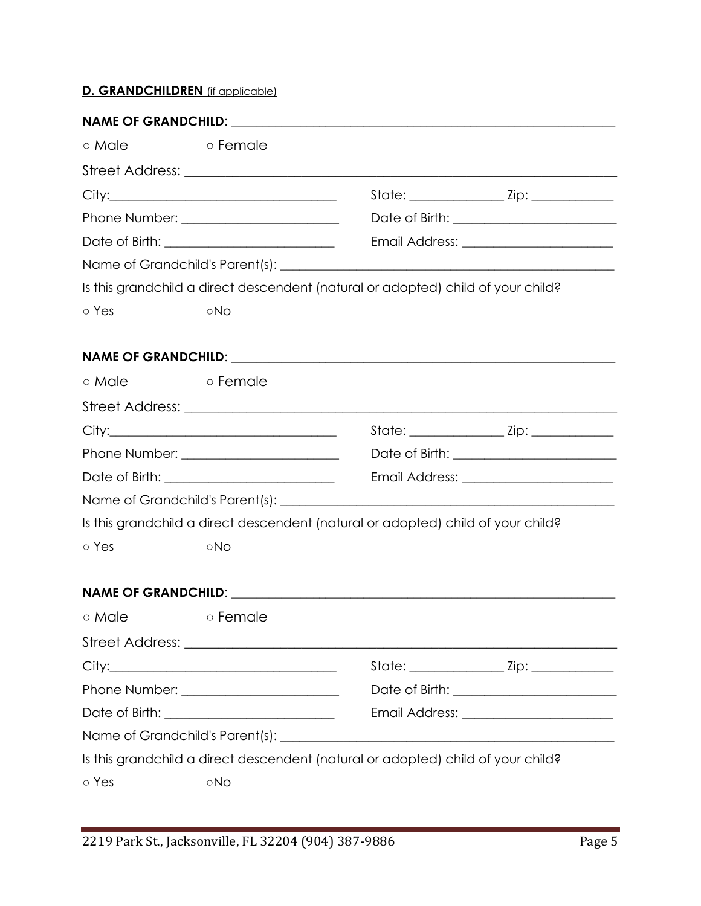# **D. GRANDCHILDREN** (if applicable)

| ⊙ Male | <b>Example 5</b> o Female |                                                                                  |                                         |
|--------|---------------------------|----------------------------------------------------------------------------------|-----------------------------------------|
|        |                           |                                                                                  |                                         |
|        |                           |                                                                                  |                                         |
|        |                           |                                                                                  |                                         |
|        |                           |                                                                                  |                                         |
|        |                           |                                                                                  |                                         |
|        |                           | Is this grandchild a direct descendent (natural or adopted) child of your child? |                                         |
| o Yes  | ∘No                       |                                                                                  |                                         |
|        |                           |                                                                                  |                                         |
|        |                           |                                                                                  |                                         |
| o Male | o Female                  |                                                                                  |                                         |
|        |                           |                                                                                  |                                         |
|        |                           |                                                                                  |                                         |
|        |                           |                                                                                  |                                         |
|        |                           |                                                                                  | Email Address: ________________________ |
|        |                           |                                                                                  |                                         |
|        |                           | Is this grandchild a direct descendent (natural or adopted) child of your child? |                                         |
| o Yes  | ∘No                       |                                                                                  |                                         |
|        |                           |                                                                                  |                                         |
|        |                           |                                                                                  |                                         |
| o Male | o Female                  |                                                                                  |                                         |
|        |                           |                                                                                  |                                         |
|        |                           |                                                                                  |                                         |
|        |                           |                                                                                  |                                         |
|        |                           |                                                                                  |                                         |
|        |                           |                                                                                  |                                         |
|        |                           | Is this grandchild a direct descendent (natural or adopted) child of your child? |                                         |
| ∘ Yes  | ∘No                       |                                                                                  |                                         |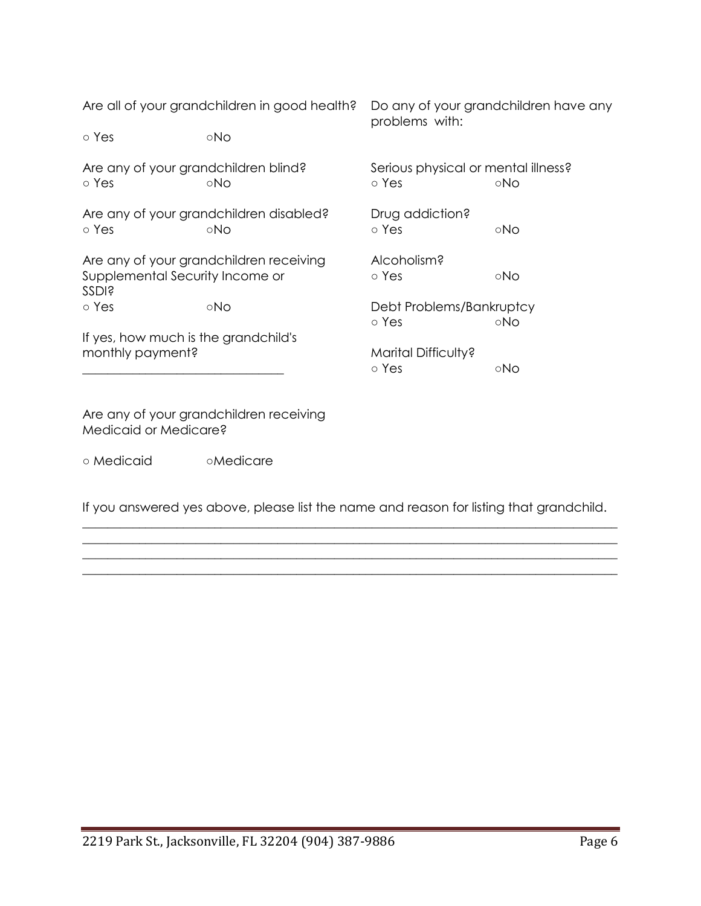| Are all of your grandchildren in good health?                                              |                                                | Do any of your grandchildren have any<br>problems with: |     |
|--------------------------------------------------------------------------------------------|------------------------------------------------|---------------------------------------------------------|-----|
| ∘ Yes                                                                                      | ∘No                                            |                                                         |     |
| Are any of your grandchildren blind?<br>o Yes                                              | ⊙No                                            | Serious physical or mental illness?<br>o Yes            | ∘No |
| o Yes                                                                                      | Are any of your grandchildren disabled?<br>∘No | Drug addiction?<br>o Yes                                | ∘No |
| Are any of your grandchildren receiving<br>Supplemental Security Income or<br><b>SSDI?</b> |                                                | Alcoholism?<br>∘ Yes                                    | ∘No |
| ∘ Yes<br>∘No                                                                               |                                                | Debt Problems/Bankruptcy<br>o Yes                       | ∘No |
| If yes, how much is the grandchild's<br>monthly payment?                                   |                                                | Marital Difficulty?<br>∘ Yes                            | ∘No |

Are any of your grandchildren receiving Medicaid or Medicare?

○ Medicaid ○Medicare

If you answered yes above, please list the name and reason for listing that grandchild.  $\_$  , and the set of the set of the set of the set of the set of the set of the set of the set of the set of the set of the set of the set of the set of the set of the set of the set of the set of the set of the set of th

 $\_$  , and the set of the set of the set of the set of the set of the set of the set of the set of the set of the set of the set of the set of the set of the set of the set of the set of the set of the set of the set of th  $\_$  , and the set of the set of the set of the set of the set of the set of the set of the set of the set of the set of the set of the set of the set of the set of the set of the set of the set of the set of the set of th  $\_$  , and the set of the set of the set of the set of the set of the set of the set of the set of the set of the set of the set of the set of the set of the set of the set of the set of the set of the set of the set of th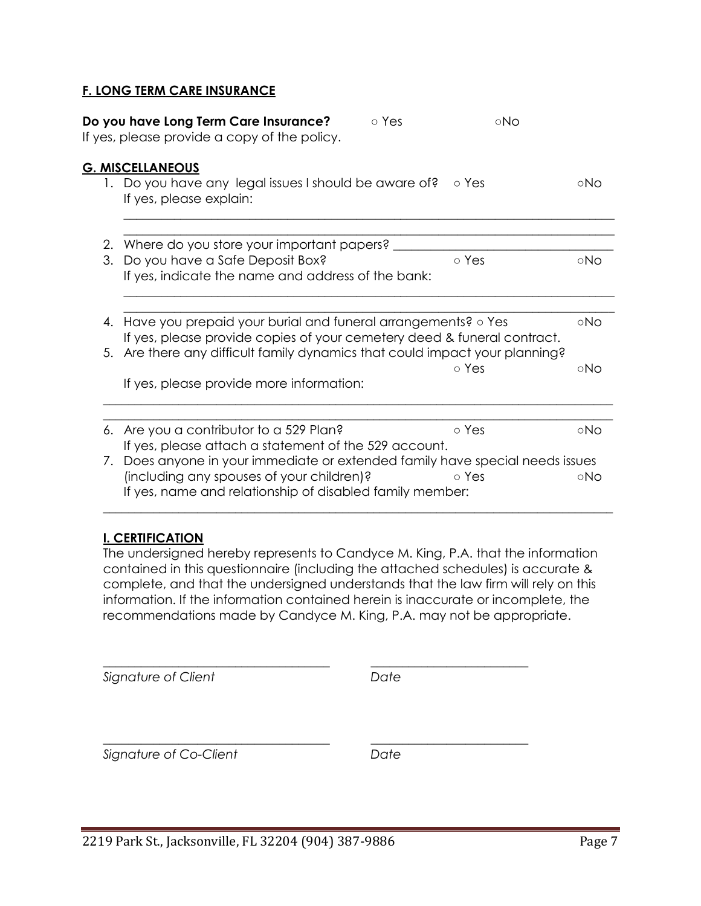## **F. LONG TERM CARE INSURANCE**

|    | Do you have Long Term Care Insurance?<br>If yes, please provide a copy of the policy.                                                                                                                                  | o Yes | ∘No   |     |
|----|------------------------------------------------------------------------------------------------------------------------------------------------------------------------------------------------------------------------|-------|-------|-----|
|    | <b>G. MISCELLANEOUS</b>                                                                                                                                                                                                |       |       |     |
|    | 1. Do you have any legal issues I should be aware of?<br>If yes, please explain:                                                                                                                                       |       | o Yes | ⊙No |
|    | 2. Where do you store your important papers?                                                                                                                                                                           |       |       |     |
| 3. | Do you have a Safe Deposit Box?<br>If yes, indicate the name and address of the bank:                                                                                                                                  |       | o Yes | ∘No |
|    |                                                                                                                                                                                                                        |       |       |     |
| 4. | Have you prepaid your burial and funeral arrangements? o Yes<br>If yes, please provide copies of your cemetery deed & funeral contract.<br>5. Are there any difficult family dynamics that could impact your planning? |       |       | ∘No |
|    | If yes, please provide more information:                                                                                                                                                                               |       | o Yes | ∘No |
|    | 6. Are you a contributor to a 529 Plan?                                                                                                                                                                                |       | o Yes | ∘No |
|    | If yes, please attach a statement of the 529 account.                                                                                                                                                                  |       |       |     |
|    | 7. Does anyone in your immediate or extended family have special needs issues                                                                                                                                          |       |       |     |
|    | (including any spouses of your children)?<br>If yes, name and relationship of disabled family member:                                                                                                                  |       | ⊙ Yes | ∘No |

## **I. CERTIFICATION**

The undersigned hereby represents to Candyce M. King, P.A. that the information contained in this questionnaire (including the attached schedules) is accurate & complete, and that the undersigned understands that the law firm will rely on this information. If the information contained herein is inaccurate or incomplete, the recommendations made by Candyce M. King, P.A. may not be appropriate.

\_\_\_\_\_\_\_\_\_\_\_\_\_\_\_\_\_\_\_\_\_\_\_\_\_\_\_\_\_\_\_\_\_\_\_\_\_\_\_\_\_\_\_\_\_\_\_\_\_\_\_\_\_\_\_\_\_\_\_\_\_\_\_\_\_\_\_\_\_\_\_\_\_\_\_\_\_\_\_\_\_

| Signature of Client    | Date |
|------------------------|------|
| Signature of Co-Client | Date |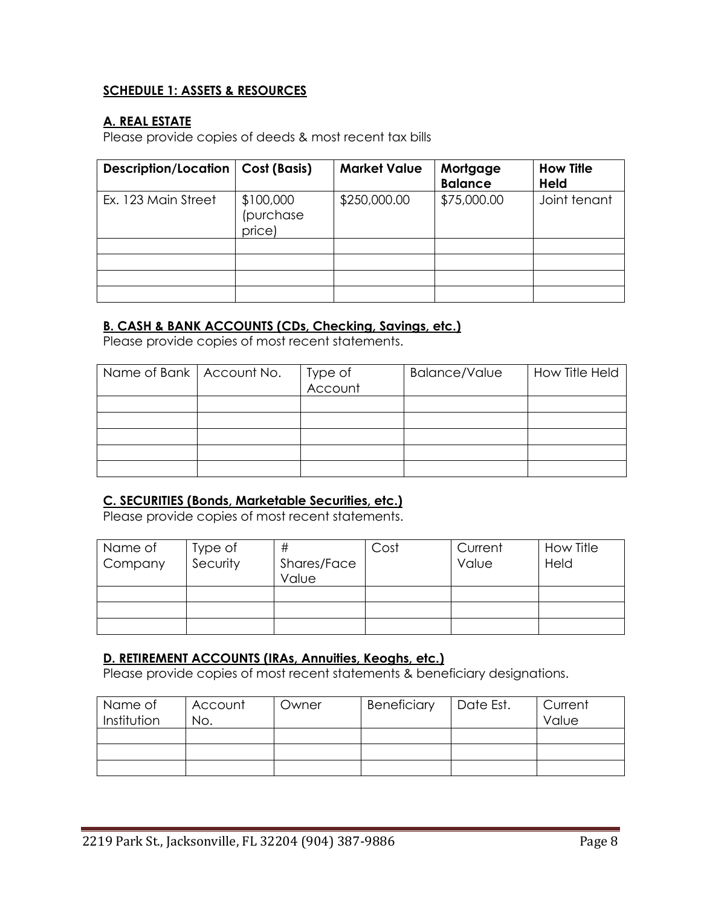# **SCHEDULE 1: ASSETS & RESOURCES**

# **A. REAL ESTATE**

Please provide copies of deeds & most recent tax bills

| Description/Location | Cost (Basis)                     | <b>Market Value</b> | Mortgage<br><b>Balance</b> | <b>How Title</b><br><b>Held</b> |
|----------------------|----------------------------------|---------------------|----------------------------|---------------------------------|
| Ex. 123 Main Street  | \$100,000<br>(purchase<br>price) | \$250,000.00        | \$75,000.00                | Joint tenant                    |
|                      |                                  |                     |                            |                                 |
|                      |                                  |                     |                            |                                 |
|                      |                                  |                     |                            |                                 |
|                      |                                  |                     |                            |                                 |

## **B. CASH & BANK ACCOUNTS (CDs, Checking, Savings, etc.)**

Please provide copies of most recent statements.

| Name of Bank   Account No. | Type of<br>Account | <b>Balance/Value</b> | How Title Held |
|----------------------------|--------------------|----------------------|----------------|
|                            |                    |                      |                |
|                            |                    |                      |                |
|                            |                    |                      |                |
|                            |                    |                      |                |
|                            |                    |                      |                |

# **C. SECURITIES (Bonds, Marketable Securities, etc.)**

Please provide copies of most recent statements.

| Name of<br>Company | Type of<br>Security | #<br>Shares/Face<br>Value | Cost | Current<br>Value | How Title<br>Held |
|--------------------|---------------------|---------------------------|------|------------------|-------------------|
|                    |                     |                           |      |                  |                   |
|                    |                     |                           |      |                  |                   |
|                    |                     |                           |      |                  |                   |

# **D. RETIREMENT ACCOUNTS (IRAs, Annuities, Keoghs, etc.)**

Please provide copies of most recent statements & beneficiary designations.

| Name of<br>Institution | Account<br>No. | Owner | Beneficiary | Date Est. | Current<br>Value |
|------------------------|----------------|-------|-------------|-----------|------------------|
|                        |                |       |             |           |                  |
|                        |                |       |             |           |                  |
|                        |                |       |             |           |                  |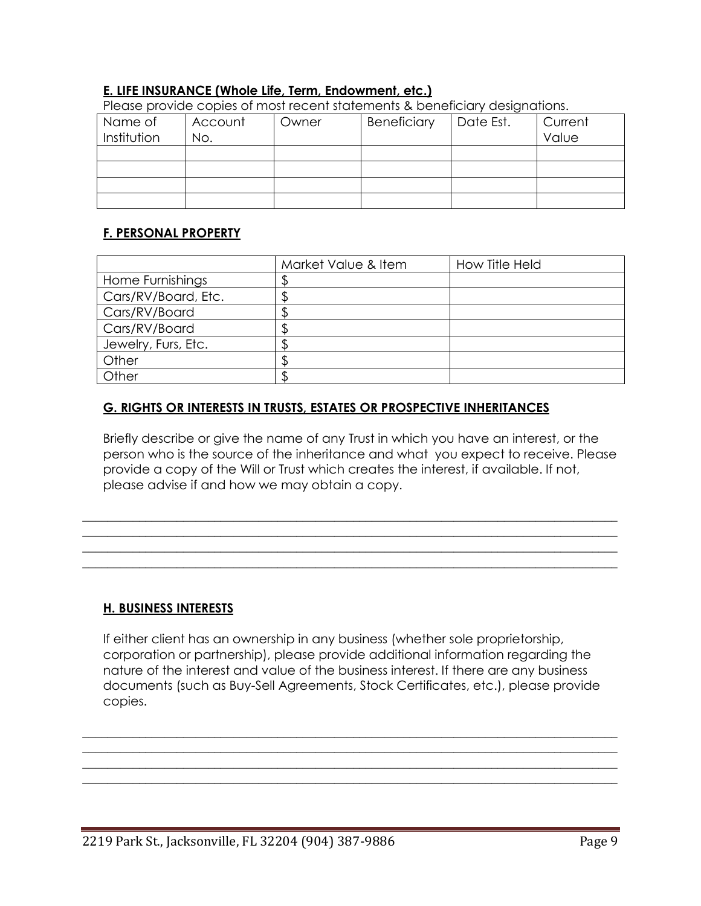## **E. LIFE INSURANCE (Whole Life, Term, Endowment, etc.)**

| Please provide copies of most recent statements & beneficially designations. |         |       |             |           |         |
|------------------------------------------------------------------------------|---------|-------|-------------|-----------|---------|
| Name of                                                                      | Account | Owner | Beneficiary | Date Est. | Current |
| Institution                                                                  | No.     |       |             |           | Value   |
|                                                                              |         |       |             |           |         |
|                                                                              |         |       |             |           |         |
|                                                                              |         |       |             |           |         |
|                                                                              |         |       |             |           |         |

Please provide copies of most recent statements & beneficiary designations.

## **F. PERSONAL PROPERTY**

|                     | Market Value & Item | How Title Held |
|---------------------|---------------------|----------------|
| Home Furnishings    |                     |                |
| Cars/RV/Board, Etc. |                     |                |
| Cars/RV/Board       |                     |                |
| Cars/RV/Board       |                     |                |
| Jewelry, Furs, Etc. |                     |                |
| Other               |                     |                |
| Other               |                     |                |

# **G. RIGHTS OR INTERESTS IN TRUSTS, ESTATES OR PROSPECTIVE INHERITANCES**

Briefly describe or give the name of any Trust in which you have an interest, or the person who is the source of the inheritance and what you expect to receive. Please provide a copy of the Will or Trust which creates the interest, if available. If not, please advise if and how we may obtain a copy.

 $\_$  , and the set of the set of the set of the set of the set of the set of the set of the set of the set of the set of the set of the set of the set of the set of the set of the set of the set of the set of the set of th  $\_$  , and the set of the set of the set of the set of the set of the set of the set of the set of the set of the set of the set of the set of the set of the set of the set of the set of the set of the set of the set of th  $\_$  , and the set of the set of the set of the set of the set of the set of the set of the set of the set of the set of the set of the set of the set of the set of the set of the set of the set of the set of the set of th  $\_$  , and the set of the set of the set of the set of the set of the set of the set of the set of the set of the set of the set of the set of the set of the set of the set of the set of the set of the set of the set of th

## **H. BUSINESS INTERESTS**

If either client has an ownership in any business (whether sole proprietorship, corporation or partnership), please provide additional information regarding the nature of the interest and value of the business interest. If there are any business documents (such as Buy-Sell Agreements, Stock Certificates, etc.), please provide copies.

\_\_\_\_\_\_\_\_\_\_\_\_\_\_\_\_\_\_\_\_\_\_\_\_\_\_\_\_\_\_\_\_\_\_\_\_\_\_\_\_\_\_\_\_\_\_\_\_\_\_\_\_\_\_\_\_\_\_\_\_\_\_\_\_\_\_\_\_\_\_\_\_\_\_\_\_\_\_\_\_\_\_\_\_\_  $\_$  , and the set of the set of the set of the set of the set of the set of the set of the set of the set of the set of the set of the set of the set of the set of the set of the set of the set of the set of the set of th \_\_\_\_\_\_\_\_\_\_\_\_\_\_\_\_\_\_\_\_\_\_\_\_\_\_\_\_\_\_\_\_\_\_\_\_\_\_\_\_\_\_\_\_\_\_\_\_\_\_\_\_\_\_\_\_\_\_\_\_\_\_\_\_\_\_\_\_\_\_\_\_\_\_\_\_\_\_\_\_\_\_\_\_\_  $\_$  , and the set of the set of the set of the set of the set of the set of the set of the set of the set of the set of the set of the set of the set of the set of the set of the set of the set of the set of the set of th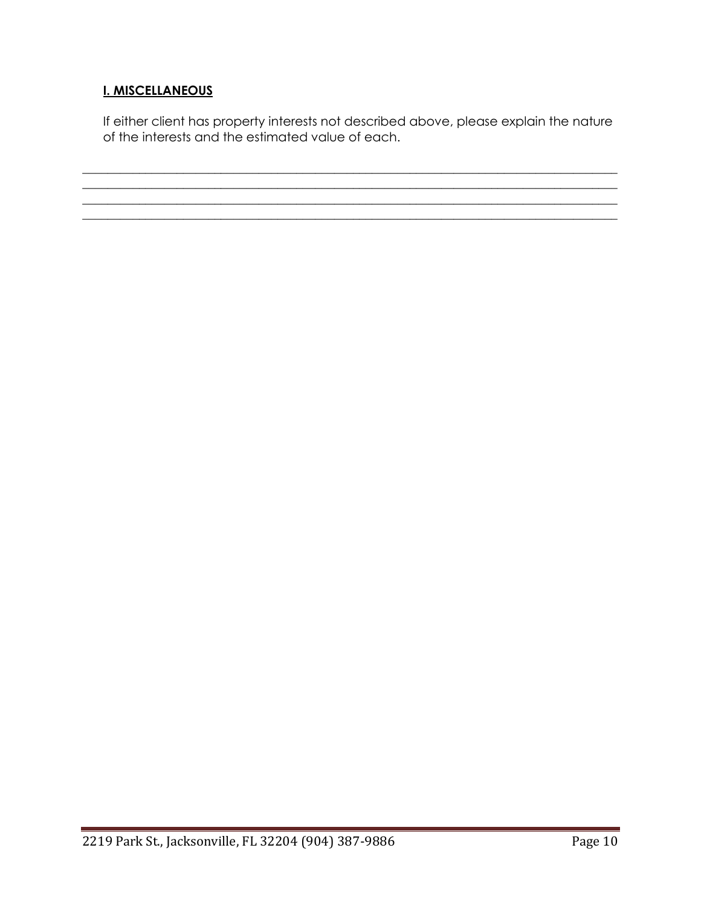# **I. MISCELLANEOUS**

If either client has property interests not described above, please explain the nature of the interests and the estimated value of each.

 $\mathcal{L}_\mathcal{L} = \{ \mathcal{L}_\mathcal{L} = \{ \mathcal{L}_\mathcal{L} = \{ \mathcal{L}_\mathcal{L} = \{ \mathcal{L}_\mathcal{L} = \{ \mathcal{L}_\mathcal{L} = \{ \mathcal{L}_\mathcal{L} = \{ \mathcal{L}_\mathcal{L} = \{ \mathcal{L}_\mathcal{L} = \{ \mathcal{L}_\mathcal{L} = \{ \mathcal{L}_\mathcal{L} = \{ \mathcal{L}_\mathcal{L} = \{ \mathcal{L}_\mathcal{L} = \{ \mathcal{L}_\mathcal{L} = \{ \mathcal{L}_\mathcal{$ 

 $\_$  , and the set of the set of the set of the set of the set of the set of the set of the set of the set of the set of the set of the set of the set of the set of the set of the set of the set of the set of the set of th

 $\_$  , and the set of the set of the set of the set of the set of the set of the set of the set of the set of the set of the set of the set of the set of the set of the set of the set of the set of the set of the set of th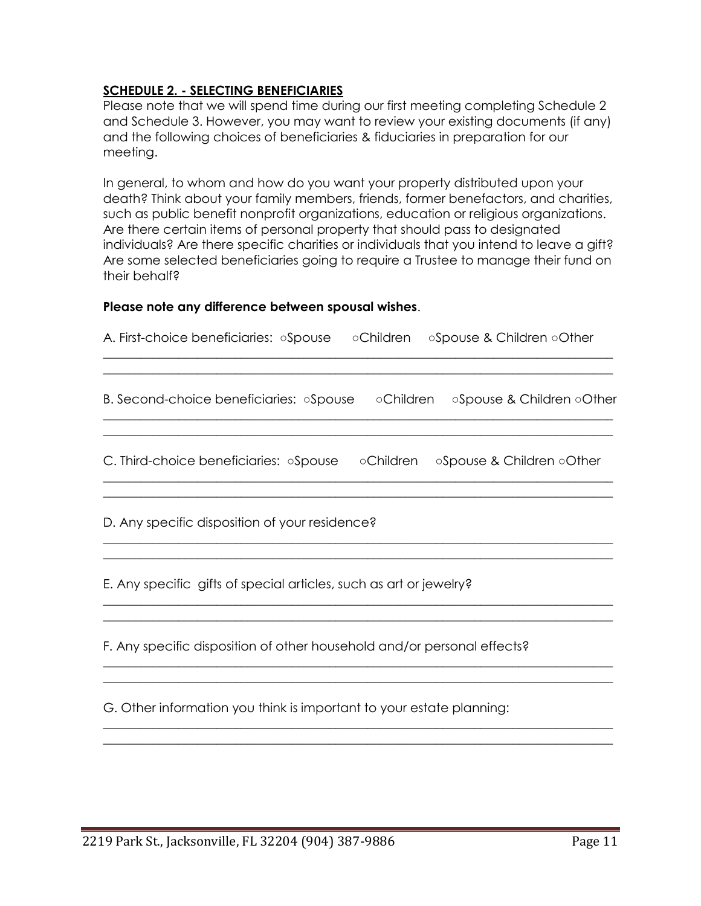## **SCHEDULE 2. - SELECTING BENEFICIARIES**

Please note that we will spend time during our first meeting completing Schedule 2 and Schedule 3. However, you may want to review your existing documents (if any) and the following choices of beneficiaries & fiduciaries in preparation for our meeting.

In general, to whom and how do you want your property distributed upon your death? Think about your family members, friends, former benefactors, and charities, such as public benefit nonprofit organizations, education or religious organizations. Are there certain items of personal property that should pass to designated individuals? Are there specific charities or individuals that you intend to leave a gift? Are some selected beneficiaries going to require a Trustee to manage their fund on their behalf?

# **Please note any difference between spousal wishes**.

| A. First-choice beneficiaries: Spouse oChildren<br>○Spouse & Children ○Other                                   |
|----------------------------------------------------------------------------------------------------------------|
| B. Second-choice beneficiaries: Spouse Children Spouse & Children Other                                        |
| C. Third-choice beneficiaries: $\circ$ Spouse $\circ$ $\circ$ Children $\circ$ Spouse & Children $\circ$ Other |
| D. Any specific disposition of your residence?                                                                 |
| E. Any specific gifts of special articles, such as art or jewelry?                                             |
| F. Any specific disposition of other household and/or personal effects?                                        |
| G. Other information you think is important to your estate planning:                                           |
|                                                                                                                |